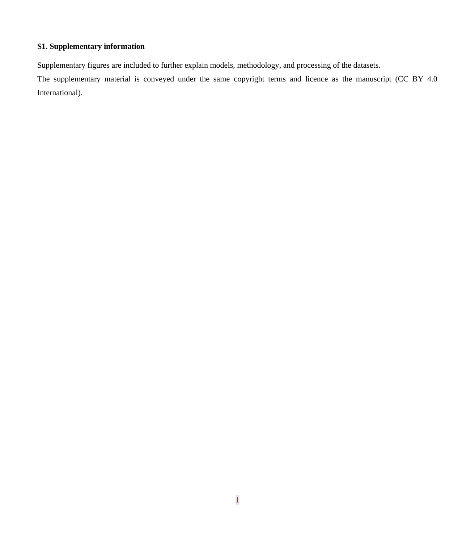## **S1. Supplementary information**

Supplementary figures are included to further explain models, methodology, and processing of the datasets.

The supplementary material is conveyed under the same copyright terms and licence as the manuscript (CC BY 4.0 International).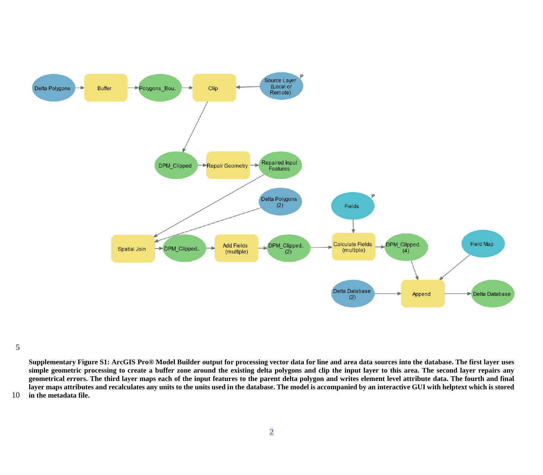

5

**Supplementary Figure S1: ArcGIS Pro® Model Builder output for processing vector data for line and area data sources into the database. The first layer uses simple geometric processing to create a buffer zone around the existing delta polygons and clip the input layer to this area. The second layer repairs any geometrical errors. The third layer maps each of the input features to the parent delta polygon and writes element level attribute data. The fourth and final layer maps attributes and recalculates any units to the units used in the database. The model is accompanied by an interactive GUI with helptext which is stored** 

10 **in the metadata file.**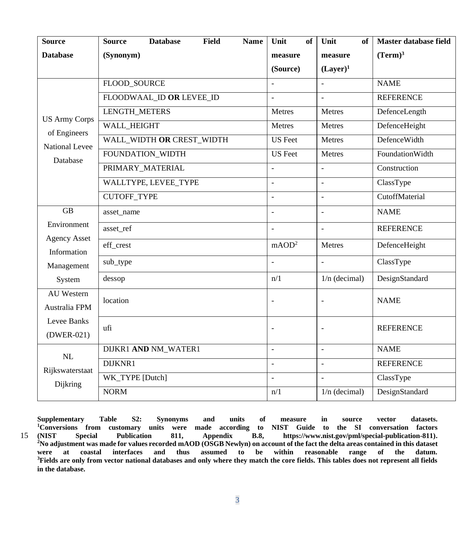| <b>Source</b>                                                      | <b>Database</b><br><b>Field</b><br><b>Source</b><br><b>Name</b> | <b>of</b><br>Unit        | Unit<br>of               | Master database field |
|--------------------------------------------------------------------|-----------------------------------------------------------------|--------------------------|--------------------------|-----------------------|
| <b>Database</b>                                                    | (Synonym)                                                       | measure                  | measure                  | $(Term)^3$            |
|                                                                    |                                                                 | (Source)                 | $(Layer)^1$              |                       |
| <b>US Army Corps</b><br>of Engineers<br>National Levee<br>Database | FLOOD_SOURCE                                                    | $\overline{a}$           | $\overline{a}$           | <b>NAME</b>           |
|                                                                    | FLOODWAAL_ID OR LEVEE_ID                                        | $\sim$                   | $\overline{a}$           | <b>REFERENCE</b>      |
|                                                                    | <b>LENGTH_METERS</b>                                            | Metres                   | Metres                   | DefenceLength         |
|                                                                    | <b>WALL HEIGHT</b>                                              | Metres                   | Metres                   | DefenceHeight         |
|                                                                    | WALL_WIDTH OR CREST_WIDTH                                       | <b>US</b> Feet           | Metres                   | <b>DefenceWidth</b>   |
|                                                                    | FOUNDATION WIDTH                                                | <b>US</b> Feet           | Metres                   | FoundationWidth       |
|                                                                    | PRIMARY_MATERIAL                                                | $\overline{\phantom{a}}$ | ÷,                       | Construction          |
|                                                                    | WALLTYPE, LEVEE_TYPE                                            | $\omega$                 | ÷,                       | ClassType             |
|                                                                    | <b>CUTOFF_TYPE</b>                                              | $\overline{a}$           | ÷,                       | CutoffMaterial        |
| $\overline{GB}$                                                    | asset_name                                                      | $\bar{\phantom{a}}$      | $\frac{1}{2}$            | <b>NAME</b>           |
| Environment                                                        | asset_ref                                                       | $\mathbf{r}$             | $\overline{a}$           | <b>REFERENCE</b>      |
| <b>Agency Asset</b><br>Information                                 | eff_crest                                                       | mAOD <sup>2</sup>        | Metres                   | DefenceHeight         |
| Management                                                         | sub_type                                                        | $\overline{\phantom{a}}$ | $\overline{a}$           | ClassType             |
| System                                                             | dessop                                                          | n/1                      | $1/n$ (decimal)          | DesignStandard        |
| AU Western<br>Australia FPM                                        | location                                                        | $\overline{\phantom{a}}$ |                          | <b>NAME</b>           |
| Levee Banks<br>(DWER-021)                                          | ufi                                                             | $\blacksquare$           |                          | <b>REFERENCE</b>      |
| NL<br>Rijkswaterstaat<br>Dijkring                                  | DIJKR1 AND NM_WATER1                                            | $\overline{\phantom{a}}$ | $\overline{a}$           | <b>NAME</b>           |
|                                                                    | DIJKNR1                                                         | $\overline{\phantom{a}}$ | $\overline{\phantom{a}}$ | <b>REFERENCE</b>      |
|                                                                    | WK_TYPE [Dutch]                                                 | $\overline{a}$           | $\overline{a}$           | ClassType             |
|                                                                    | <b>NORM</b>                                                     | n/1                      | $1/n$ (decimal)          | DesignStandard        |

**Supplementary Table S2: Synonyms and units of measure in source vector datasets.** <sup>1</sup> Conversions from customary units were made according to NIST Guide to the SI conversation factors (NIST Special Publication 811, Appendix B.8, https://www.nist.gov/pml/special-publication-811). 15 **(NIST Special Publication 811, Appendix B.8, https://www.nist.gov/pml/special-publication-811). <sup>2</sup>No adjustment was made for values recorded mAOD (OSGB Newlyn) on account of the fact the delta areas contained in this dataset were at coastal interfaces and thus assumed to be within reasonable range of the datum. <sup>3</sup>Fields are only from vector national databases and only where they match the core fields. This tables does not represent all fields in the database.**